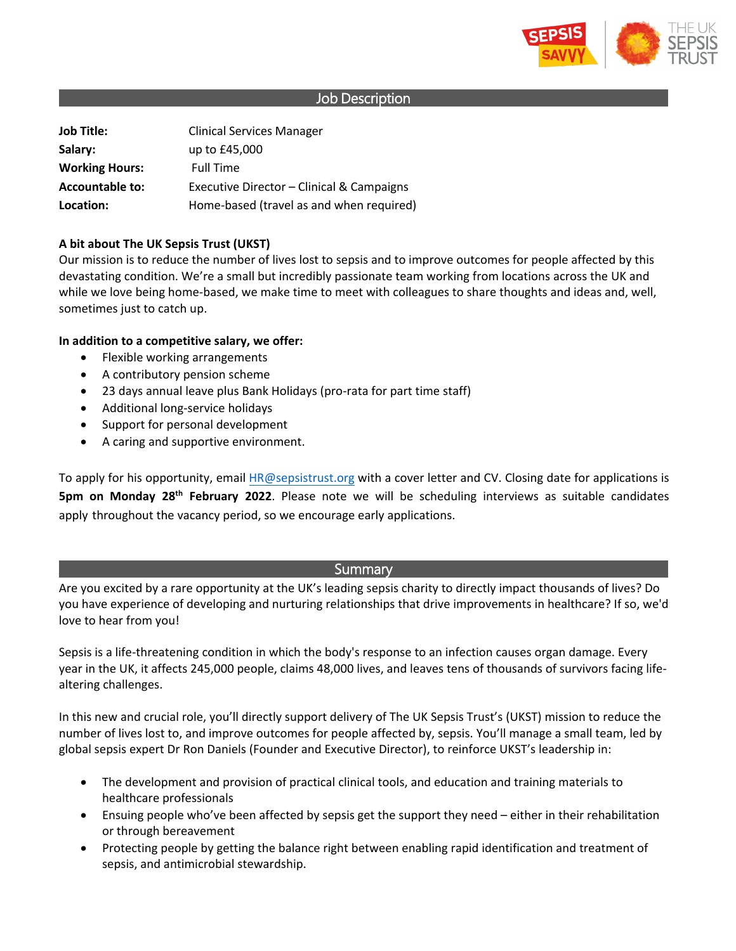

## Job Description

**Job Title:** Clinical Services Manager **Salary:** up to £45,000 **Working Hours:** Full Time **Accountable to:** Executive Director – Clinical & Campaigns **Location:** Home-based (travel as and when required)

### **A bit about The UK Sepsis Trust (UKST)**

Our mission is to reduce the number of lives lost to sepsis and to improve outcomes for people affected by this devastating condition. We're a small but incredibly passionate team working from locations across the UK and while we love being home-based, we make time to meet with colleagues to share thoughts and ideas and, well, sometimes just to catch up.

### **In addition to a competitive salary, we offer:**

- Flexible working arrangements
- A contributory pension scheme
- 23 days annual leave plus Bank Holidays (pro-rata for part time staff)
- Additional long-service holidays
- Support for personal development
- A caring and supportive environment.

To apply for his opportunity, email [HR@sepsistrust.org](mailto:HR@sepsistrust.org) with a cover letter and CV. Closing date for applications is **5pm on Monday 28th February 2022**. Please note we will be scheduling interviews as suitable candidates apply throughout the vacancy period, so we encourage early applications.

## Summary

Are you excited by a rare opportunity at the UK's leading sepsis charity to directly impact thousands of lives? Do you have experience of developing and nurturing relationships that drive improvements in healthcare? If so, we'd love to hear from you!

Sepsis is a life-threatening condition in which the body's response to an infection causes organ damage. Every year in the UK, it affects 245,000 people, claims 48,000 lives, and leaves tens of thousands of survivors facing lifealtering challenges.

In this new and crucial role, you'll directly support delivery of The UK Sepsis Trust's (UKST) mission to reduce the number of lives lost to, and improve outcomes for people affected by, sepsis. You'll manage a small team, led by global sepsis expert Dr Ron Daniels (Founder and Executive Director), to reinforce UKST's leadership in:

- The development and provision of practical clinical tools, and education and training materials to healthcare professionals
- Ensuing people who've been affected by sepsis get the support they need either in their rehabilitation or through bereavement
- Protecting people by getting the balance right between enabling rapid identification and treatment of sepsis, and antimicrobial stewardship.